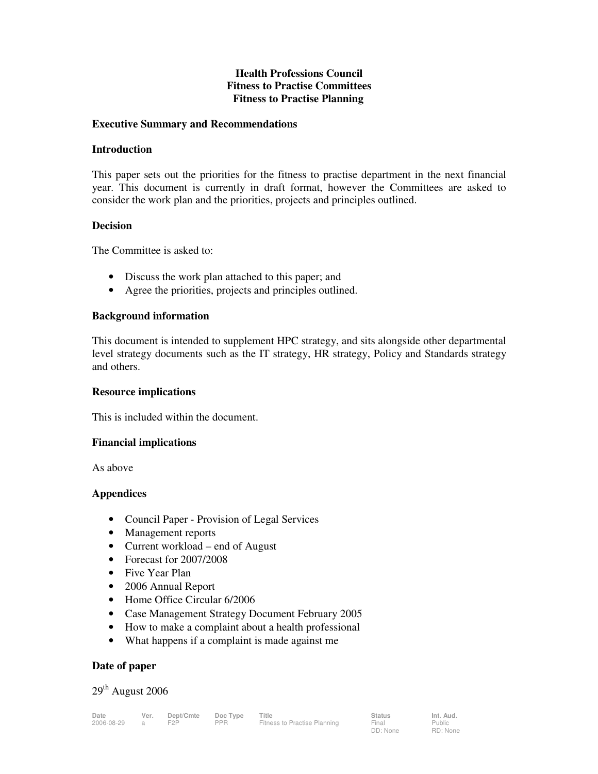# **Health Professions Council Fitness to Practise Committees Fitness to Practise Planning**

#### **Executive Summary and Recommendations**

#### **Introduction**

This paper sets out the priorities for the fitness to practise department in the next financial year. This document is currently in draft format, however the Committees are asked to consider the work plan and the priorities, projects and principles outlined.

#### **Decision**

The Committee is asked to:

- Discuss the work plan attached to this paper; and
- Agree the priorities, projects and principles outlined.

#### **Background information**

This document is intended to supplement HPC strategy, and sits alongside other departmental level strategy documents such as the IT strategy, HR strategy, Policy and Standards strategy and others.

#### **Resource implications**

This is included within the document.

#### **Financial implications**

As above

#### **Appendices**

- Council Paper Provision of Legal Services
- Management reports
- Current workload end of August
- Forecast for 2007/2008
- Five Year Plan
- 2006 Annual Report
- Home Office Circular 6/2006
- Case Management Strategy Document February 2005
- How to make a complaint about a health professional
- What happens if a complaint is made against me

#### **Date of paper**

# 29<sup>th</sup> August 2006

Public RD: None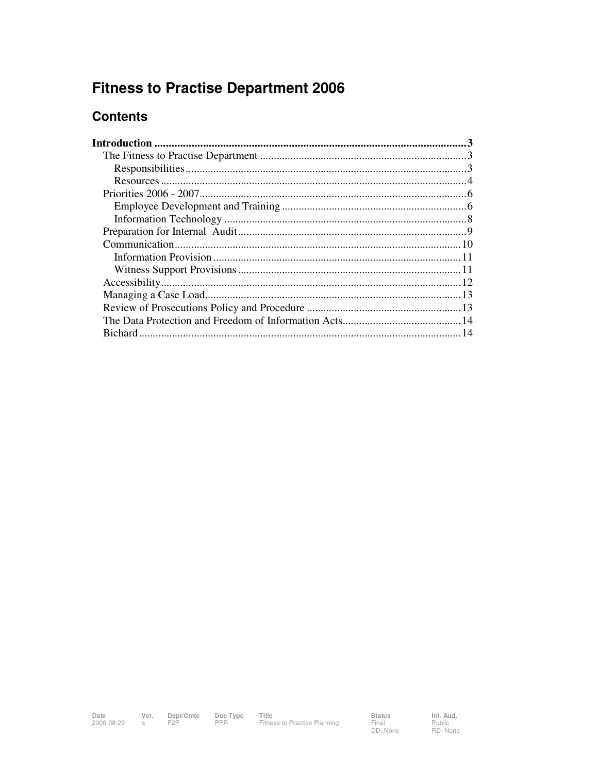# **Fitness to Practise Department 2006**

# **Contents**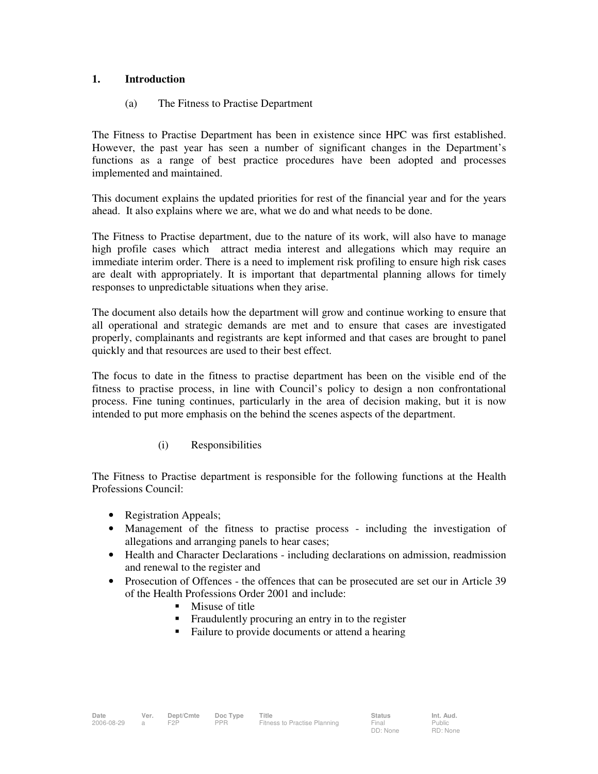# **1. Introduction**

# (a) The Fitness to Practise Department

The Fitness to Practise Department has been in existence since HPC was first established. However, the past year has seen a number of significant changes in the Department's functions as a range of best practice procedures have been adopted and processes implemented and maintained.

This document explains the updated priorities for rest of the financial year and for the years ahead. It also explains where we are, what we do and what needs to be done.

The Fitness to Practise department, due to the nature of its work, will also have to manage high profile cases which attract media interest and allegations which may require an immediate interim order. There is a need to implement risk profiling to ensure high risk cases are dealt with appropriately. It is important that departmental planning allows for timely responses to unpredictable situations when they arise.

The document also details how the department will grow and continue working to ensure that all operational and strategic demands are met and to ensure that cases are investigated properly, complainants and registrants are kept informed and that cases are brought to panel quickly and that resources are used to their best effect.

The focus to date in the fitness to practise department has been on the visible end of the fitness to practise process, in line with Council's policy to design a non confrontational process. Fine tuning continues, particularly in the area of decision making, but it is now intended to put more emphasis on the behind the scenes aspects of the department.

# (i) Responsibilities

The Fitness to Practise department is responsible for the following functions at the Health Professions Council:

- Registration Appeals;
- Management of the fitness to practise process including the investigation of allegations and arranging panels to hear cases;
- Health and Character Declarations including declarations on admission, readmission and renewal to the register and
- Prosecution of Offences the offences that can be prosecuted are set our in Article 39 of the Health Professions Order 2001 and include:
	- **Misuse of title**
	- **Fraudulently procuring an entry in to the register**
	- Failure to provide documents or attend a hearing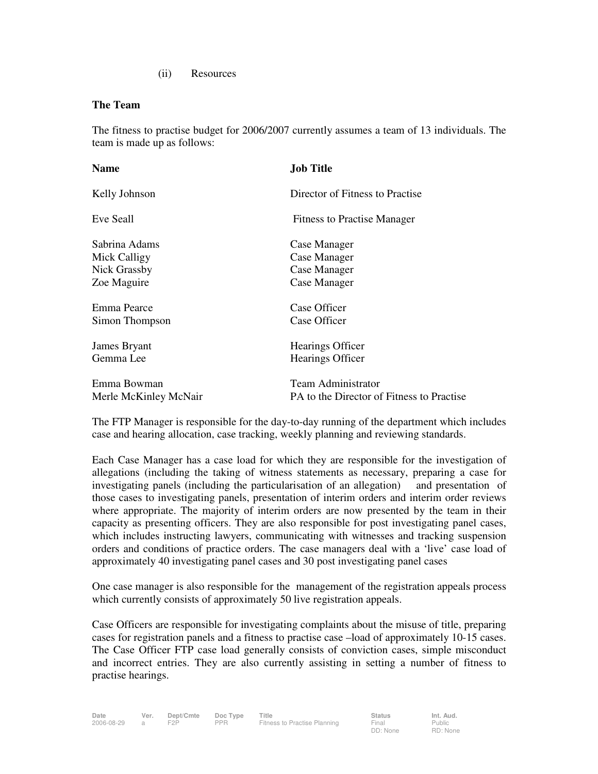(ii) Resources

#### **The Team**

The fitness to practise budget for 2006/2007 currently assumes a team of 13 individuals. The team is made up as follows:

| <b>Name</b>           | <b>Job Title</b>                          |
|-----------------------|-------------------------------------------|
| Kelly Johnson         | Director of Fitness to Practise           |
| Eve Seall             | <b>Fitness to Practise Manager</b>        |
| Sabrina Adams         | Case Manager                              |
| Mick Calligy          | Case Manager                              |
| Nick Grassby          | Case Manager                              |
| Zoe Maguire           | Case Manager                              |
| Emma Pearce           | Case Officer                              |
| Simon Thompson        | Case Officer                              |
| James Bryant          | Hearings Officer                          |
| Gemma Lee             | Hearings Officer                          |
| Emma Bowman           | Team Administrator                        |
| Merle McKinley McNair | PA to the Director of Fitness to Practise |

The FTP Manager is responsible for the day-to-day running of the department which includes case and hearing allocation, case tracking, weekly planning and reviewing standards.

Each Case Manager has a case load for which they are responsible for the investigation of allegations (including the taking of witness statements as necessary, preparing a case for investigating panels (including the particularisation of an allegation) and presentation of those cases to investigating panels, presentation of interim orders and interim order reviews where appropriate. The majority of interim orders are now presented by the team in their capacity as presenting officers. They are also responsible for post investigating panel cases, which includes instructing lawyers, communicating with witnesses and tracking suspension orders and conditions of practice orders. The case managers deal with a 'live' case load of approximately 40 investigating panel cases and 30 post investigating panel cases

One case manager is also responsible for the management of the registration appeals process which currently consists of approximately 50 live registration appeals.

Case Officers are responsible for investigating complaints about the misuse of title, preparing cases for registration panels and a fitness to practise case –load of approximately 10-15 cases. The Case Officer FTP case load generally consists of conviction cases, simple misconduct and incorrect entries. They are also currently assisting in setting a number of fitness to practise hearings.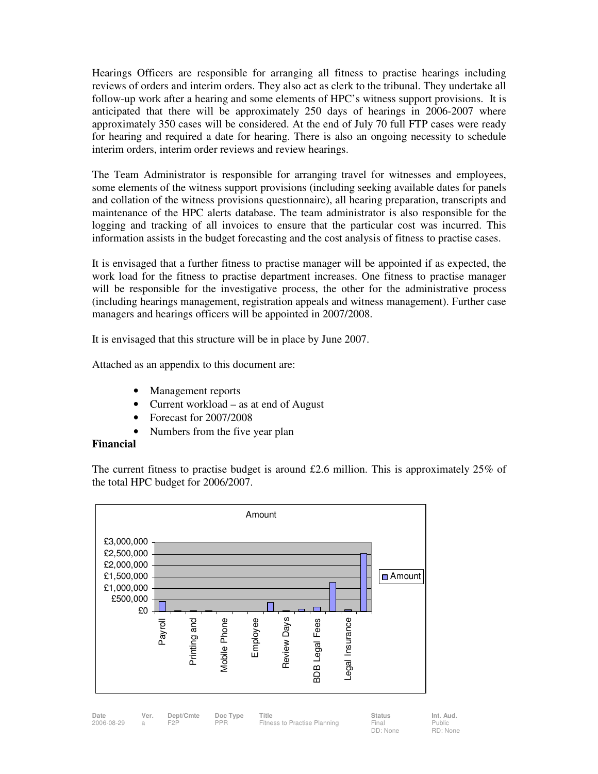Hearings Officers are responsible for arranging all fitness to practise hearings including reviews of orders and interim orders. They also act as clerk to the tribunal. They undertake all follow-up work after a hearing and some elements of HPC's witness support provisions. It is anticipated that there will be approximately 250 days of hearings in 2006-2007 where approximately 350 cases will be considered. At the end of July 70 full FTP cases were ready for hearing and required a date for hearing. There is also an ongoing necessity to schedule interim orders, interim order reviews and review hearings.

The Team Administrator is responsible for arranging travel for witnesses and employees, some elements of the witness support provisions (including seeking available dates for panels and collation of the witness provisions questionnaire), all hearing preparation, transcripts and maintenance of the HPC alerts database. The team administrator is also responsible for the logging and tracking of all invoices to ensure that the particular cost was incurred. This information assists in the budget forecasting and the cost analysis of fitness to practise cases.

It is envisaged that a further fitness to practise manager will be appointed if as expected, the work load for the fitness to practise department increases. One fitness to practise manager will be responsible for the investigative process, the other for the administrative process (including hearings management, registration appeals and witness management). Further case managers and hearings officers will be appointed in 2007/2008.

It is envisaged that this structure will be in place by June 2007.

Attached as an appendix to this document are:

- Management reports
- Current workload as at end of August
- Forecast for 2007/2008
- Numbers from the five year plan

#### **Financial**

The current fitness to practise budget is around £2.6 million. This is approximately  $25\%$  of the total HPC budget for 2006/2007.

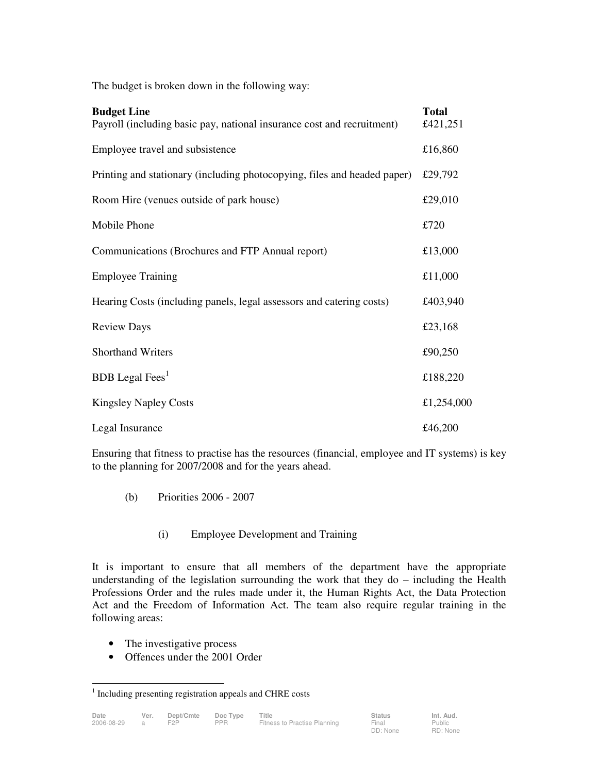The budget is broken down in the following way:

| <b>Budget Line</b><br>Payroll (including basic pay, national insurance cost and recruitment) | <b>Total</b><br>£421,251 |
|----------------------------------------------------------------------------------------------|--------------------------|
| Employee travel and subsistence                                                              | £16,860                  |
| Printing and stationary (including photocopying, files and headed paper)                     | £29,792                  |
| Room Hire (venues outside of park house)                                                     | £29,010                  |
| Mobile Phone                                                                                 | £720                     |
| Communications (Brochures and FTP Annual report)                                             | £13,000                  |
| <b>Employee Training</b>                                                                     | £11,000                  |
| Hearing Costs (including panels, legal assessors and catering costs)                         | £403,940                 |
| <b>Review Days</b>                                                                           | £23,168                  |
| <b>Shorthand Writers</b>                                                                     | £90,250                  |
| <b>BDB</b> Legal Fees <sup>1</sup>                                                           | £188,220                 |
| <b>Kingsley Napley Costs</b>                                                                 | £1,254,000               |
| Legal Insurance                                                                              | £46,200                  |

Ensuring that fitness to practise has the resources (financial, employee and IT systems) is key to the planning for 2007/2008 and for the years ahead.

- (b) Priorities 2006 2007
	- (i) Employee Development and Training

It is important to ensure that all members of the department have the appropriate understanding of the legislation surrounding the work that they do – including the Health Professions Order and the rules made under it, the Human Rights Act, the Data Protection Act and the Freedom of Information Act. The team also require regular training in the following areas:

- The investigative process
- Offences under the 2001 Order

 1 Including presenting registration appeals and CHRE costs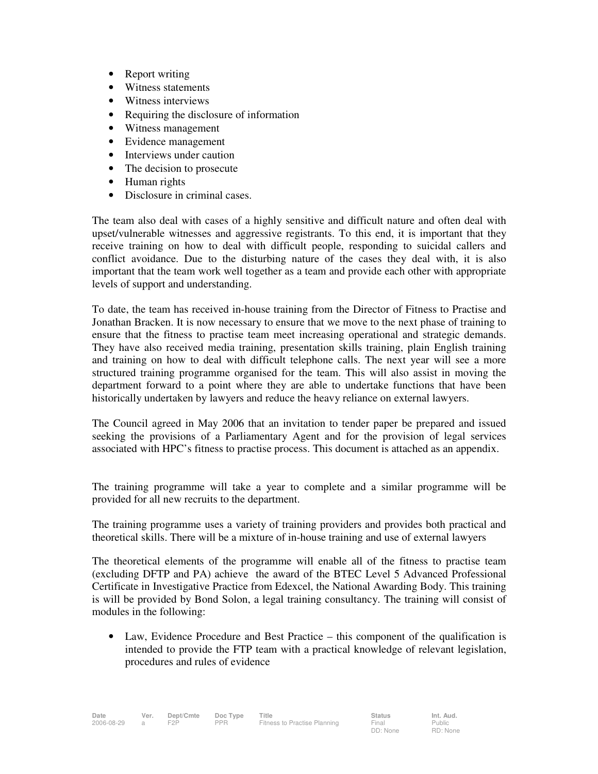- Report writing
- Witness statements
- Witness interviews
- Requiring the disclosure of information
- Witness management
- Evidence management
- Interviews under caution
- The decision to prosecute
- Human rights
- Disclosure in criminal cases.

The team also deal with cases of a highly sensitive and difficult nature and often deal with upset/vulnerable witnesses and aggressive registrants. To this end, it is important that they receive training on how to deal with difficult people, responding to suicidal callers and conflict avoidance. Due to the disturbing nature of the cases they deal with, it is also important that the team work well together as a team and provide each other with appropriate levels of support and understanding.

To date, the team has received in-house training from the Director of Fitness to Practise and Jonathan Bracken. It is now necessary to ensure that we move to the next phase of training to ensure that the fitness to practise team meet increasing operational and strategic demands. They have also received media training, presentation skills training, plain English training and training on how to deal with difficult telephone calls. The next year will see a more structured training programme organised for the team. This will also assist in moving the department forward to a point where they are able to undertake functions that have been historically undertaken by lawyers and reduce the heavy reliance on external lawyers.

The Council agreed in May 2006 that an invitation to tender paper be prepared and issued seeking the provisions of a Parliamentary Agent and for the provision of legal services associated with HPC's fitness to practise process. This document is attached as an appendix.

The training programme will take a year to complete and a similar programme will be provided for all new recruits to the department.

The training programme uses a variety of training providers and provides both practical and theoretical skills. There will be a mixture of in-house training and use of external lawyers

The theoretical elements of the programme will enable all of the fitness to practise team (excluding DFTP and PA) achieve the award of the BTEC Level 5 Advanced Professional Certificate in Investigative Practice from Edexcel, the National Awarding Body. This training is will be provided by Bond Solon, a legal training consultancy. The training will consist of modules in the following:

• Law, Evidence Procedure and Best Practice – this component of the qualification is intended to provide the FTP team with a practical knowledge of relevant legislation, procedures and rules of evidence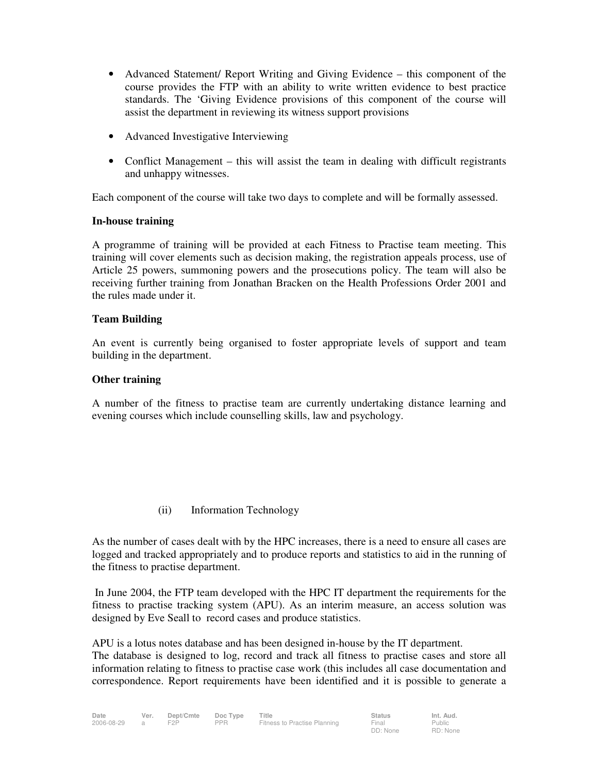- Advanced Statement/ Report Writing and Giving Evidence this component of the course provides the FTP with an ability to write written evidence to best practice standards. The 'Giving Evidence provisions of this component of the course will assist the department in reviewing its witness support provisions
- Advanced Investigative Interviewing
- Conflict Management this will assist the team in dealing with difficult registrants and unhappy witnesses.

Each component of the course will take two days to complete and will be formally assessed.

#### **In-house training**

A programme of training will be provided at each Fitness to Practise team meeting. This training will cover elements such as decision making, the registration appeals process, use of Article 25 powers, summoning powers and the prosecutions policy. The team will also be receiving further training from Jonathan Bracken on the Health Professions Order 2001 and the rules made under it.

# **Team Building**

An event is currently being organised to foster appropriate levels of support and team building in the department.

# **Other training**

A number of the fitness to practise team are currently undertaking distance learning and evening courses which include counselling skills, law and psychology.

(ii) Information Technology

As the number of cases dealt with by the HPC increases, there is a need to ensure all cases are logged and tracked appropriately and to produce reports and statistics to aid in the running of the fitness to practise department.

 In June 2004, the FTP team developed with the HPC IT department the requirements for the fitness to practise tracking system (APU). As an interim measure, an access solution was designed by Eve Seall to record cases and produce statistics.

APU is a lotus notes database and has been designed in-house by the IT department. The database is designed to log, record and track all fitness to practise cases and store all information relating to fitness to practise case work (this includes all case documentation and correspondence. Report requirements have been identified and it is possible to generate a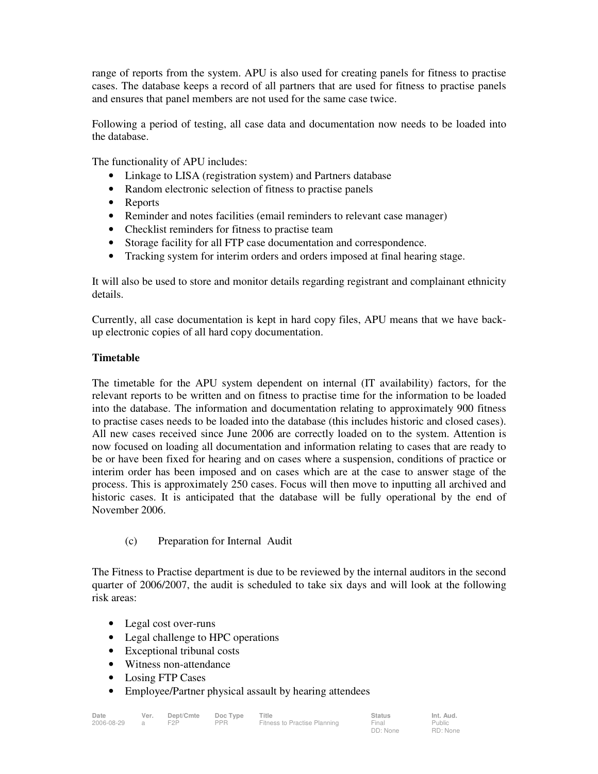range of reports from the system. APU is also used for creating panels for fitness to practise cases. The database keeps a record of all partners that are used for fitness to practise panels and ensures that panel members are not used for the same case twice.

Following a period of testing, all case data and documentation now needs to be loaded into the database.

The functionality of APU includes:

- Linkage to LISA (registration system) and Partners database
- Random electronic selection of fitness to practise panels
- Reports
- Reminder and notes facilities (email reminders to relevant case manager)
- Checklist reminders for fitness to practise team
- Storage facility for all FTP case documentation and correspondence.
- Tracking system for interim orders and orders imposed at final hearing stage.

It will also be used to store and monitor details regarding registrant and complainant ethnicity details.

Currently, all case documentation is kept in hard copy files, APU means that we have backup electronic copies of all hard copy documentation.

# **Timetable**

The timetable for the APU system dependent on internal (IT availability) factors, for the relevant reports to be written and on fitness to practise time for the information to be loaded into the database. The information and documentation relating to approximately 900 fitness to practise cases needs to be loaded into the database (this includes historic and closed cases). All new cases received since June 2006 are correctly loaded on to the system. Attention is now focused on loading all documentation and information relating to cases that are ready to be or have been fixed for hearing and on cases where a suspension, conditions of practice or interim order has been imposed and on cases which are at the case to answer stage of the process. This is approximately 250 cases. Focus will then move to inputting all archived and historic cases. It is anticipated that the database will be fully operational by the end of November 2006.

(c) Preparation for Internal Audit

The Fitness to Practise department is due to be reviewed by the internal auditors in the second quarter of 2006/2007, the audit is scheduled to take six days and will look at the following risk areas:

- Legal cost over-runs
- Legal challenge to HPC operations
- Exceptional tribunal costs
- Witness non-attendance
- Losing FTP Cases
- Employee/Partner physical assault by hearing attendees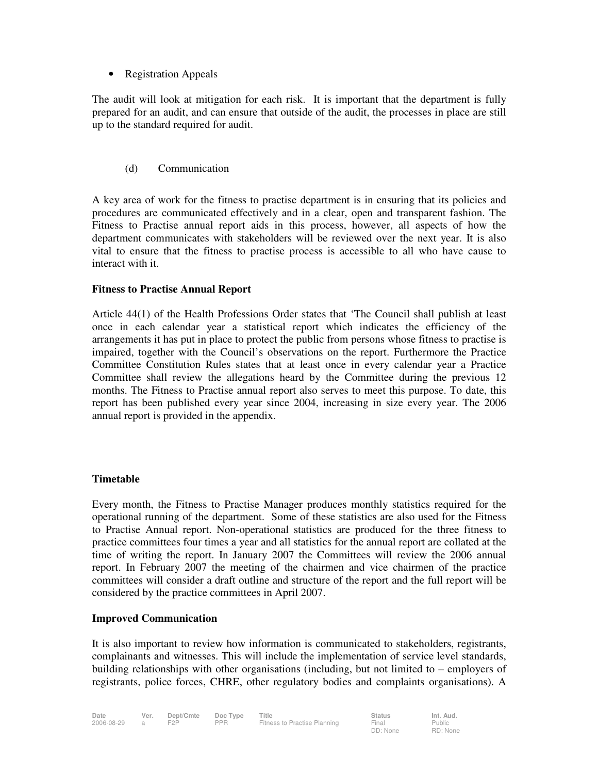• Registration Appeals

The audit will look at mitigation for each risk. It is important that the department is fully prepared for an audit, and can ensure that outside of the audit, the processes in place are still up to the standard required for audit.

(d) Communication

A key area of work for the fitness to practise department is in ensuring that its policies and procedures are communicated effectively and in a clear, open and transparent fashion. The Fitness to Practise annual report aids in this process, however, all aspects of how the department communicates with stakeholders will be reviewed over the next year. It is also vital to ensure that the fitness to practise process is accessible to all who have cause to interact with it.

#### **Fitness to Practise Annual Report**

Article 44(1) of the Health Professions Order states that 'The Council shall publish at least once in each calendar year a statistical report which indicates the efficiency of the arrangements it has put in place to protect the public from persons whose fitness to practise is impaired, together with the Council's observations on the report. Furthermore the Practice Committee Constitution Rules states that at least once in every calendar year a Practice Committee shall review the allegations heard by the Committee during the previous 12 months. The Fitness to Practise annual report also serves to meet this purpose. To date, this report has been published every year since 2004, increasing in size every year. The 2006 annual report is provided in the appendix.

#### **Timetable**

Every month, the Fitness to Practise Manager produces monthly statistics required for the operational running of the department. Some of these statistics are also used for the Fitness to Practise Annual report. Non-operational statistics are produced for the three fitness to practice committees four times a year and all statistics for the annual report are collated at the time of writing the report. In January 2007 the Committees will review the 2006 annual report. In February 2007 the meeting of the chairmen and vice chairmen of the practice committees will consider a draft outline and structure of the report and the full report will be considered by the practice committees in April 2007.

#### **Improved Communication**

It is also important to review how information is communicated to stakeholders, registrants, complainants and witnesses. This will include the implementation of service level standards, building relationships with other organisations (including, but not limited to – employers of registrants, police forces, CHRE, other regulatory bodies and complaints organisations). A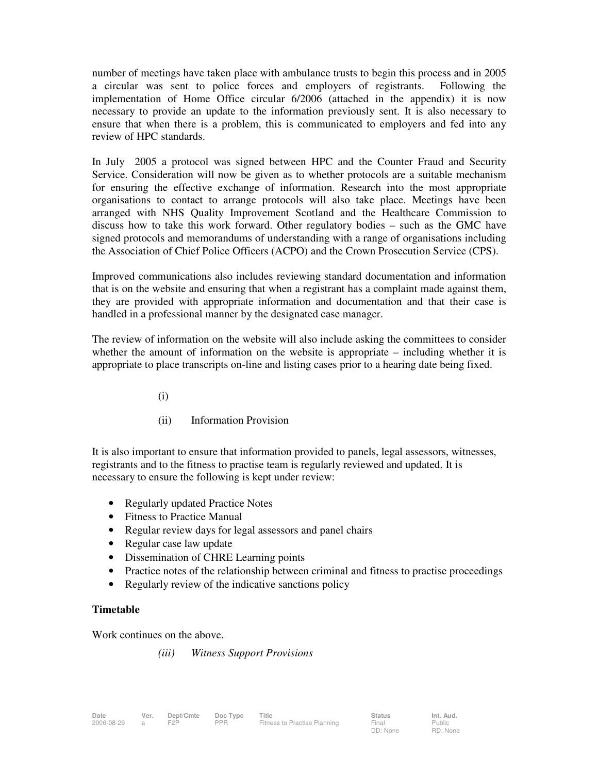number of meetings have taken place with ambulance trusts to begin this process and in 2005 a circular was sent to police forces and employers of registrants. Following the implementation of Home Office circular 6/2006 (attached in the appendix) it is now necessary to provide an update to the information previously sent. It is also necessary to ensure that when there is a problem, this is communicated to employers and fed into any review of HPC standards.

In July 2005 a protocol was signed between HPC and the Counter Fraud and Security Service. Consideration will now be given as to whether protocols are a suitable mechanism for ensuring the effective exchange of information. Research into the most appropriate organisations to contact to arrange protocols will also take place. Meetings have been arranged with NHS Quality Improvement Scotland and the Healthcare Commission to discuss how to take this work forward. Other regulatory bodies – such as the GMC have signed protocols and memorandums of understanding with a range of organisations including the Association of Chief Police Officers (ACPO) and the Crown Prosecution Service (CPS).

Improved communications also includes reviewing standard documentation and information that is on the website and ensuring that when a registrant has a complaint made against them, they are provided with appropriate information and documentation and that their case is handled in a professional manner by the designated case manager.

The review of information on the website will also include asking the committees to consider whether the amount of information on the website is appropriate – including whether it is appropriate to place transcripts on-line and listing cases prior to a hearing date being fixed.

- (i)
- (ii) Information Provision

It is also important to ensure that information provided to panels, legal assessors, witnesses, registrants and to the fitness to practise team is regularly reviewed and updated. It is necessary to ensure the following is kept under review:

- Regularly updated Practice Notes
- Fitness to Practice Manual
- Regular review days for legal assessors and panel chairs
- Regular case law update
- Dissemination of CHRE Learning points
- Practice notes of the relationship between criminal and fitness to practise proceedings
- Regularly review of the indicative sanctions policy

#### **Timetable**

Work continues on the above.

*(iii) Witness Support Provisions*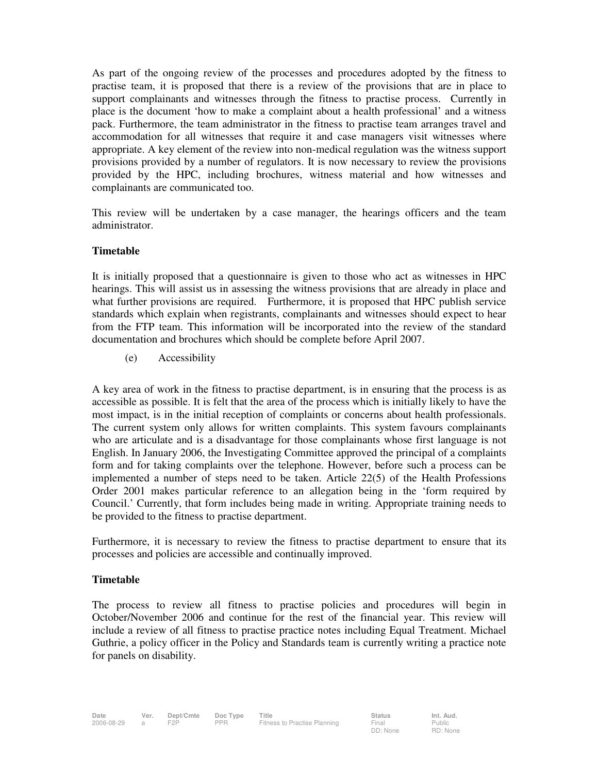As part of the ongoing review of the processes and procedures adopted by the fitness to practise team, it is proposed that there is a review of the provisions that are in place to support complainants and witnesses through the fitness to practise process. Currently in place is the document 'how to make a complaint about a health professional' and a witness pack. Furthermore, the team administrator in the fitness to practise team arranges travel and accommodation for all witnesses that require it and case managers visit witnesses where appropriate. A key element of the review into non-medical regulation was the witness support provisions provided by a number of regulators. It is now necessary to review the provisions provided by the HPC, including brochures, witness material and how witnesses and complainants are communicated too.

This review will be undertaken by a case manager, the hearings officers and the team administrator.

#### **Timetable**

It is initially proposed that a questionnaire is given to those who act as witnesses in HPC hearings. This will assist us in assessing the witness provisions that are already in place and what further provisions are required. Furthermore, it is proposed that HPC publish service standards which explain when registrants, complainants and witnesses should expect to hear from the FTP team. This information will be incorporated into the review of the standard documentation and brochures which should be complete before April 2007.

(e) Accessibility

A key area of work in the fitness to practise department, is in ensuring that the process is as accessible as possible. It is felt that the area of the process which is initially likely to have the most impact, is in the initial reception of complaints or concerns about health professionals. The current system only allows for written complaints. This system favours complainants who are articulate and is a disadvantage for those complainants whose first language is not English. In January 2006, the Investigating Committee approved the principal of a complaints form and for taking complaints over the telephone. However, before such a process can be implemented a number of steps need to be taken. Article 22(5) of the Health Professions Order 2001 makes particular reference to an allegation being in the 'form required by Council.' Currently, that form includes being made in writing. Appropriate training needs to be provided to the fitness to practise department.

Furthermore, it is necessary to review the fitness to practise department to ensure that its processes and policies are accessible and continually improved.

#### **Timetable**

The process to review all fitness to practise policies and procedures will begin in October/November 2006 and continue for the rest of the financial year. This review will include a review of all fitness to practise practice notes including Equal Treatment. Michael Guthrie, a policy officer in the Policy and Standards team is currently writing a practice note for panels on disability.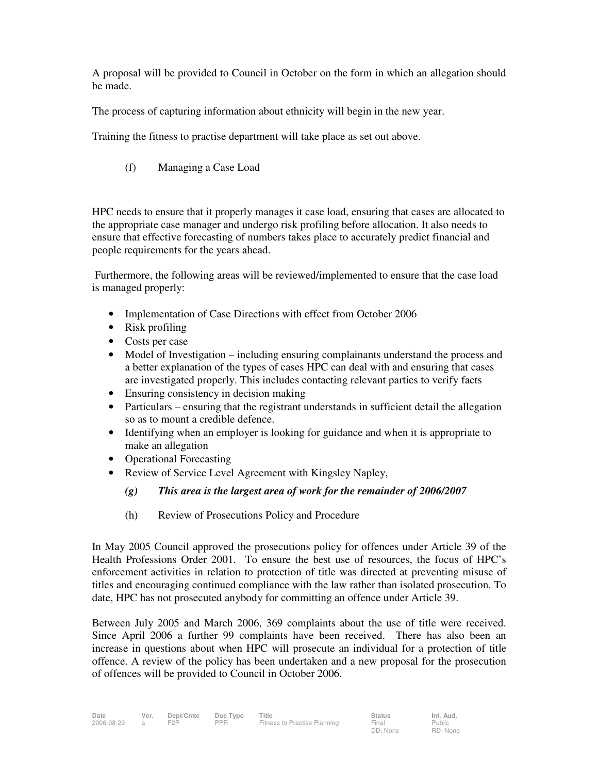A proposal will be provided to Council in October on the form in which an allegation should be made.

The process of capturing information about ethnicity will begin in the new year.

Training the fitness to practise department will take place as set out above.

(f) Managing a Case Load

HPC needs to ensure that it properly manages it case load, ensuring that cases are allocated to the appropriate case manager and undergo risk profiling before allocation. It also needs to ensure that effective forecasting of numbers takes place to accurately predict financial and people requirements for the years ahead.

 Furthermore, the following areas will be reviewed/implemented to ensure that the case load is managed properly:

- Implementation of Case Directions with effect from October 2006
- Risk profiling
- Costs per case
- Model of Investigation including ensuring complainants understand the process and a better explanation of the types of cases HPC can deal with and ensuring that cases are investigated properly. This includes contacting relevant parties to verify facts
- Ensuring consistency in decision making
- Particulars ensuring that the registrant understands in sufficient detail the allegation so as to mount a credible defence.
- Identifying when an employer is looking for guidance and when it is appropriate to make an allegation
- Operational Forecasting
- Review of Service Level Agreement with Kingsley Napley,
	- *(g) This area is the largest area of work for the remainder of 2006/2007*
	- (h) Review of Prosecutions Policy and Procedure

In May 2005 Council approved the prosecutions policy for offences under Article 39 of the Health Professions Order 2001. To ensure the best use of resources, the focus of HPC's enforcement activities in relation to protection of title was directed at preventing misuse of titles and encouraging continued compliance with the law rather than isolated prosecution. To date, HPC has not prosecuted anybody for committing an offence under Article 39.

Between July 2005 and March 2006, 369 complaints about the use of title were received. Since April 2006 a further 99 complaints have been received. There has also been an increase in questions about when HPC will prosecute an individual for a protection of title offence. A review of the policy has been undertaken and a new proposal for the prosecution of offences will be provided to Council in October 2006.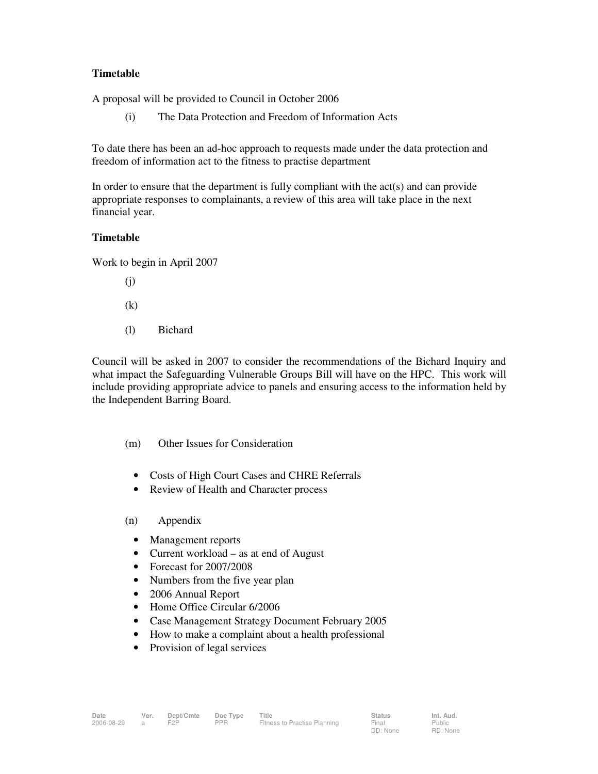# **Timetable**

A proposal will be provided to Council in October 2006

(i) The Data Protection and Freedom of Information Acts

To date there has been an ad-hoc approach to requests made under the data protection and freedom of information act to the fitness to practise department

In order to ensure that the department is fully compliant with the  $act(s)$  and can provide appropriate responses to complainants, a review of this area will take place in the next financial year.

# **Timetable**

Work to begin in April 2007

- (j)
- (k)
- (l) Bichard

Council will be asked in 2007 to consider the recommendations of the Bichard Inquiry and what impact the Safeguarding Vulnerable Groups Bill will have on the HPC. This work will include providing appropriate advice to panels and ensuring access to the information held by the Independent Barring Board.

- (m) Other Issues for Consideration
	- Costs of High Court Cases and CHRE Referrals
	- Review of Health and Character process

#### (n) Appendix

- Management reports
- Current workload as at end of August
- Forecast for 2007/2008
- Numbers from the five year plan
- 2006 Annual Report
- Home Office Circular 6/2006
- Case Management Strategy Document February 2005
- How to make a complaint about a health professional
- Provision of legal services